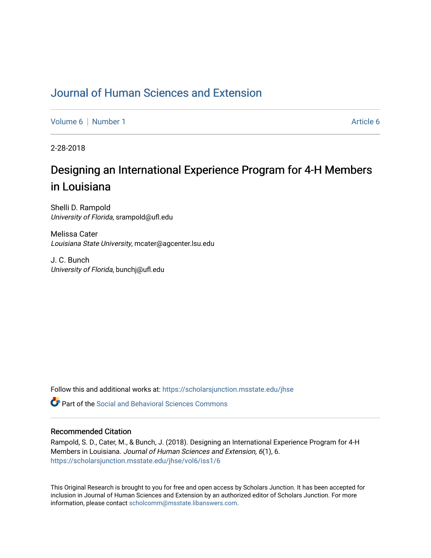# [Journal of Human Sciences and Extension](https://scholarsjunction.msstate.edu/jhse)

[Volume 6](https://scholarsjunction.msstate.edu/jhse/vol6) | [Number 1](https://scholarsjunction.msstate.edu/jhse/vol6/iss1) [Article 6](https://scholarsjunction.msstate.edu/jhse/vol6/iss1/6) | Article 6 | Article 6 | Article 6 | Article 6 | Article 6 | Article 6 | Article 6 | Article 6 | Article 6 | Article 6 | Article 6 | Article 6 | Article 6 | Article 6 | Article 6 | Article 6

2-28-2018

# Designing an International Experience Program for 4-H Members in Louisiana

Shelli D. Rampold University of Florida, srampold@ufl.edu

Melissa Cater Louisiana State University, mcater@agcenter.lsu.edu

J. C. Bunch University of Florida, bunchj@ufl.edu

Follow this and additional works at: [https://scholarsjunction.msstate.edu/jhse](https://scholarsjunction.msstate.edu/jhse?utm_source=scholarsjunction.msstate.edu%2Fjhse%2Fvol6%2Fiss1%2F6&utm_medium=PDF&utm_campaign=PDFCoverPages)

 $\bullet$  Part of the Social and Behavioral Sciences Commons

#### Recommended Citation

Rampold, S. D., Cater, M., & Bunch, J. (2018). Designing an International Experience Program for 4-H Members in Louisiana. Journal of Human Sciences and Extension, 6(1), 6. [https://scholarsjunction.msstate.edu/jhse/vol6/iss1/6](https://scholarsjunction.msstate.edu/jhse/vol6/iss1/6?utm_source=scholarsjunction.msstate.edu%2Fjhse%2Fvol6%2Fiss1%2F6&utm_medium=PDF&utm_campaign=PDFCoverPages)

This Original Research is brought to you for free and open access by Scholars Junction. It has been accepted for inclusion in Journal of Human Sciences and Extension by an authorized editor of Scholars Junction. For more information, please contact [scholcomm@msstate.libanswers.com](mailto:scholcomm@msstate.libanswers.com).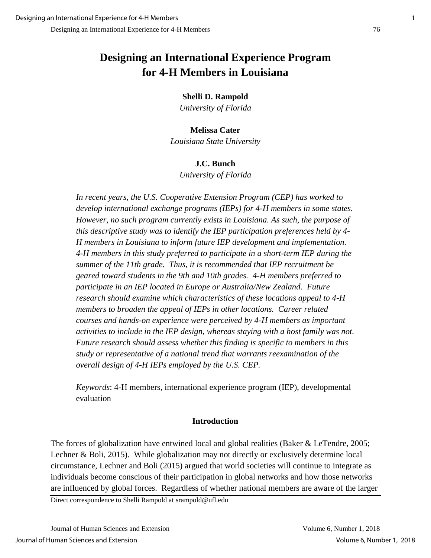# **Designing an International Experience Program for 4-H Members in Louisiana**

## **Shelli D. Rampold**

*University of Florida*

## **Melissa Cater**

*Louisiana State University*

## **J.C. Bunch**

*University of Florida*

*In recent years, the U.S. Cooperative Extension Program (CEP) has worked to develop international exchange programs (IEPs) for 4-H members in some states. However, no such program currently exists in Louisiana. As such, the purpose of this descriptive study was to identify the IEP participation preferences held by 4- H members in Louisiana to inform future IEP development and implementation. 4-H members in this study preferred to participate in a short-term IEP during the summer of the 11th grade. Thus, it is recommended that IEP recruitment be geared toward students in the 9th and 10th grades. 4-H members preferred to participate in an IEP located in Europe or Australia/New Zealand. Future research should examine which characteristics of these locations appeal to 4-H members to broaden the appeal of IEPs in other locations. Career related courses and hands-on experience were perceived by 4-H members as important activities to include in the IEP design, whereas staying with a host family was not. Future research should assess whether this finding is specific to members in this study or representative of a national trend that warrants reexamination of the overall design of 4-H IEPs employed by the U.S. CEP.* 

*Keywords*: 4-H members, international experience program (IEP), developmental evaluation

## **Introduction**

The forces of globalization have entwined local and global realities (Baker & LeTendre, 2005; Lechner & Boli, 2015). While globalization may not directly or exclusively determine local circumstance, Lechner and Boli (2015) argued that world societies will continue to integrate as individuals become conscious of their participation in global networks and how those networks are influenced by global forces. Regardless of whether national members are aware of the larger

Direct correspondence to Shelli Rampold at srampold@ufl.edu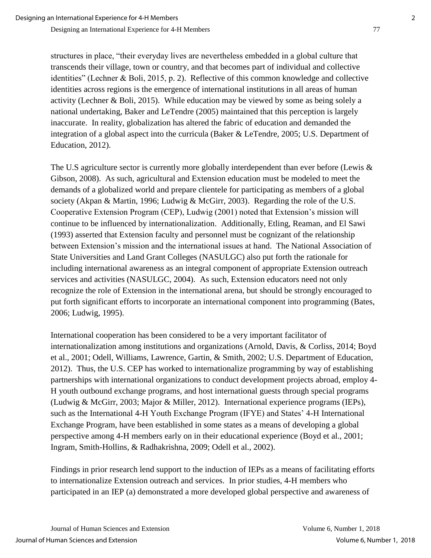structures in place, "their everyday lives are nevertheless embedded in a global culture that transcends their village, town or country, and that becomes part of individual and collective identities" (Lechner & Boli, 2015, p. 2). Reflective of this common knowledge and collective identities across regions is the emergence of international institutions in all areas of human activity (Lechner & Boli, 2015). While education may be viewed by some as being solely a national undertaking, Baker and LeTendre (2005) maintained that this perception is largely inaccurate. In reality, globalization has altered the fabric of education and demanded the integration of a global aspect into the curricula (Baker & LeTendre, 2005; U.S. Department of Education, 2012).

The U.S agriculture sector is currently more globally interdependent than ever before (Lewis & Gibson, 2008). As such, agricultural and Extension education must be modeled to meet the demands of a globalized world and prepare clientele for participating as members of a global society (Akpan & Martin, 1996; Ludwig & McGirr, 2003). Regarding the role of the U.S. Cooperative Extension Program (CEP), Ludwig (2001) noted that Extension's mission will continue to be influenced by internationalization. Additionally, Etling, Reaman, and El Sawi (1993) asserted that Extension faculty and personnel must be cognizant of the relationship between Extension's mission and the international issues at hand. The National Association of State Universities and Land Grant Colleges (NASULGC) also put forth the rationale for including international awareness as an integral component of appropriate Extension outreach services and activities (NASULGC, 2004). As such, Extension educators need not only recognize the role of Extension in the international arena, but should be strongly encouraged to put forth significant efforts to incorporate an international component into programming (Bates, 2006; Ludwig, 1995).

International cooperation has been considered to be a very important facilitator of internationalization among institutions and organizations (Arnold, Davis, & Corliss, 2014; Boyd et al., 2001; Odell, Williams, Lawrence, Gartin, & Smith, 2002; U.S. Department of Education, 2012). Thus, the U.S. CEP has worked to internationalize programming by way of establishing partnerships with international organizations to conduct development projects abroad, employ 4- H youth outbound exchange programs, and host international guests through special programs (Ludwig & McGirr, 2003; Major & Miller, 2012). International experience programs (IEPs), such as the International 4-H Youth Exchange Program (IFYE) and States' 4-H International Exchange Program, have been established in some states as a means of developing a global perspective among 4-H members early on in their educational experience (Boyd et al., 2001; Ingram, Smith-Hollins, & Radhakrishna, 2009; Odell et al., 2002).

Findings in prior research lend support to the induction of IEPs as a means of facilitating efforts to internationalize Extension outreach and services. In prior studies, 4-H members who participated in an IEP (a) demonstrated a more developed global perspective and awareness of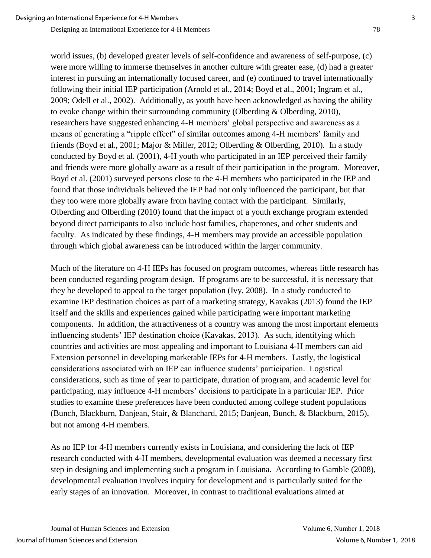world issues, (b) developed greater levels of self-confidence and awareness of self-purpose, (c) were more willing to immerse themselves in another culture with greater ease, (d) had a greater interest in pursuing an internationally focused career, and (e) continued to travel internationally following their initial IEP participation (Arnold et al., 2014; Boyd et al., 2001; Ingram et al., 2009; Odell et al., 2002). Additionally, as youth have been acknowledged as having the ability to evoke change within their surrounding community (Olberding & Olberding, 2010), researchers have suggested enhancing 4-H members' global perspective and awareness as a means of generating a "ripple effect" of similar outcomes among 4-H members' family and friends (Boyd et al., 2001; Major & Miller, 2012; Olberding & Olberding, 2010). In a study conducted by Boyd et al. (2001), 4-H youth who participated in an IEP perceived their family and friends were more globally aware as a result of their participation in the program. Moreover, Boyd et al. (2001) surveyed persons close to the 4-H members who participated in the IEP and found that those individuals believed the IEP had not only influenced the participant, but that they too were more globally aware from having contact with the participant. Similarly, Olberding and Olberding (2010) found that the impact of a youth exchange program extended beyond direct participants to also include host families, chaperones, and other students and faculty. As indicated by these findings, 4-H members may provide an accessible population through which global awareness can be introduced within the larger community.

Much of the literature on 4-H IEPs has focused on program outcomes, whereas little research has been conducted regarding program design. If programs are to be successful, it is necessary that they be developed to appeal to the target population (Ivy, 2008). In a study conducted to examine IEP destination choices as part of a marketing strategy, Kavakas (2013) found the IEP itself and the skills and experiences gained while participating were important marketing components. In addition, the attractiveness of a country was among the most important elements influencing students' IEP destination choice (Kavakas, 2013). As such, identifying which countries and activities are most appealing and important to Louisiana 4-H members can aid Extension personnel in developing marketable IEPs for 4-H members. Lastly, the logistical considerations associated with an IEP can influence students' participation. Logistical considerations, such as time of year to participate, duration of program, and academic level for participating, may influence 4-H members' decisions to participate in a particular IEP. Prior studies to examine these preferences have been conducted among college student populations (Bunch, Blackburn, Danjean, Stair, & Blanchard, 2015; Danjean, Bunch, & Blackburn, 2015), but not among 4-H members.

As no IEP for 4-H members currently exists in Louisiana, and considering the lack of IEP research conducted with 4-H members, developmental evaluation was deemed a necessary first step in designing and implementing such a program in Louisiana. According to Gamble (2008), developmental evaluation involves inquiry for development and is particularly suited for the early stages of an innovation. Moreover, in contrast to traditional evaluations aimed at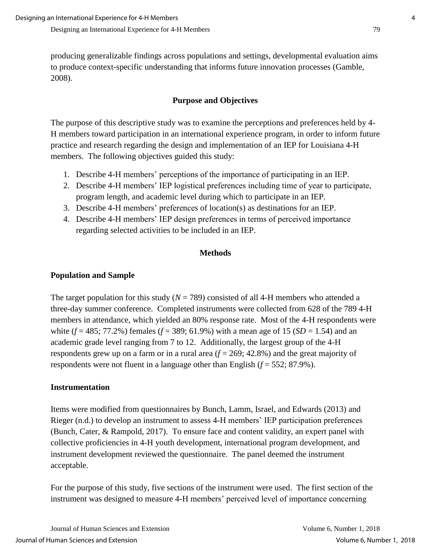producing generalizable findings across populations and settings, developmental evaluation aims to produce context-specific understanding that informs future innovation processes (Gamble, 2008).

# **Purpose and Objectives**

The purpose of this descriptive study was to examine the perceptions and preferences held by 4- H members toward participation in an international experience program, in order to inform future practice and research regarding the design and implementation of an IEP for Louisiana 4-H members. The following objectives guided this study:

- 1. Describe 4-H members' perceptions of the importance of participating in an IEP.
- 2. Describe 4-H members' IEP logistical preferences including time of year to participate, program length, and academic level during which to participate in an IEP.
- 3. Describe 4-H members' preferences of location(s) as destinations for an IEP.
- 4. Describe 4-H members' IEP design preferences in terms of perceived importance regarding selected activities to be included in an IEP.

## **Methods**

## **Population and Sample**

The target population for this study  $(N = 789)$  consisted of all 4-H members who attended a three-day summer conference. Completed instruments were collected from 628 of the 789 4-H members in attendance, which yielded an 80% response rate. Most of the 4-H respondents were white  $(f = 485; 77.2\%)$  females  $(f = 389; 61.9\%)$  with a mean age of 15  $(SD = 1.54)$  and an academic grade level ranging from 7 to 12. Additionally, the largest group of the 4-H respondents grew up on a farm or in a rural area  $(f = 269; 42.8\%)$  and the great majority of respondents were not fluent in a language other than English  $(f = 552; 87.9\%)$ .

### **Instrumentation**

Items were modified from questionnaires by Bunch, Lamm, Israel, and Edwards (2013) and Rieger (n.d.) to develop an instrument to assess 4-H members' IEP participation preferences (Bunch, Cater, & Rampold, 2017). To ensure face and content validity, an expert panel with collective proficiencies in 4-H youth development, international program development, and instrument development reviewed the questionnaire. The panel deemed the instrument acceptable.

For the purpose of this study, five sections of the instrument were used. The first section of the instrument was designed to measure 4-H members' perceived level of importance concerning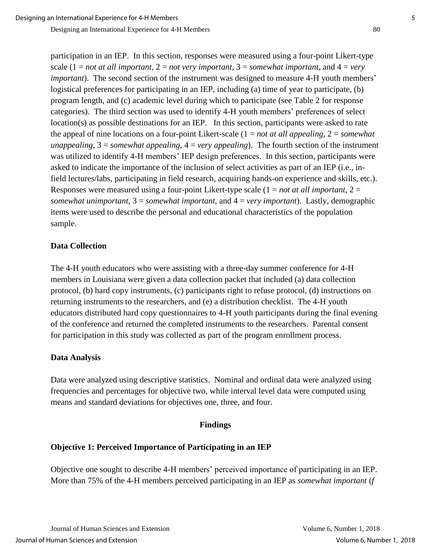participation in an IEP. In this section, responses were measured using a four-point Likert-type scale  $(1 = not at all important, 2 = not very important, 3 = somewhat important, and 4 = very$ *important*). The second section of the instrument was designed to measure 4-H youth members' logistical preferences for participating in an IEP, including (a) time of year to participate, (b) program length, and (c) academic level during which to participate (see Table 2 for response categories). The third section was used to identify 4-H youth members' preferences of select location(s) as possible destinations for an IEP. In this section, participants were asked to rate the appeal of nine locations on a four-point Likert-scale (1 = *not at all appealing*, 2 = *somewhat unappealing*, 3 = *somewhat appealing*, 4 = *very appealing*). The fourth section of the instrument was utilized to identify 4-H members' IEP design preferences. In this section, participants were asked to indicate the importance of the inclusion of select activities as part of an IEP (i.e., infield lectures/labs, participating in field research, acquiring hands-on experience and skills, etc.). Responses were measured using a four-point Likert-type scale (1 = *not at all important*, 2 = *somewhat unimportant*, 3 = *somewhat important*, and 4 = *very important*). Lastly, demographic items were used to describe the personal and educational characteristics of the population sample.

### **Data Collection**

The 4-H youth educators who were assisting with a three-day summer conference for 4-H members in Louisiana were given a data collection packet that included (a) data collection protocol, (b) hard copy instruments, (c) participants right to refuse protocol, (d) instructions on returning instruments to the researchers, and (e) a distribution checklist. The 4-H youth educators distributed hard copy questionnaires to 4-H youth participants during the final evening of the conference and returned the completed instruments to the researchers. Parental consent for participation in this study was collected as part of the program enrollment process.

### **Data Analysis**

Data were analyzed using descriptive statistics. Nominal and ordinal data were analyzed using frequencies and percentages for objective two, while interval level data were computed using means and standard deviations for objectives one, three, and four.

#### **Findings**

### **Objective 1: Perceived Importance of Participating in an IEP**

Objective one sought to describe 4-H members' perceived importance of participating in an IEP. More than 75% of the 4-H members perceived participating in an IEP as *somewhat important* (*f*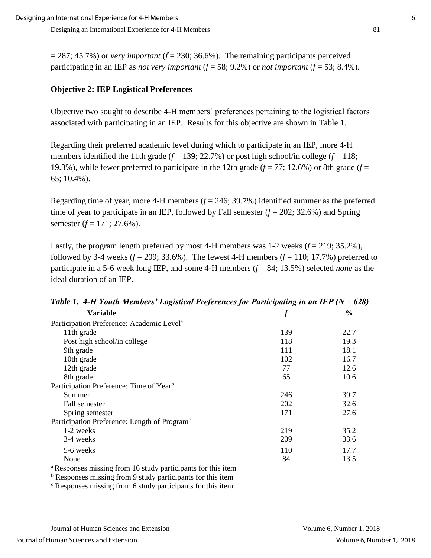$= 287$ ; 45.7%) or *very important* ( $f = 230$ ; 36.6%). The remaining participants perceived participating in an IEP as *not very important*  $(f = 58; 9.2\%)$  or *not important*  $(f = 53; 8.4\%)$ .

## **Objective 2: IEP Logistical Preferences**

Objective two sought to describe 4-H members' preferences pertaining to the logistical factors associated with participating in an IEP. Results for this objective are shown in Table 1.

Regarding their preferred academic level during which to participate in an IEP, more 4-H members identified the 11th grade  $(f = 139; 22.7\%)$  or post high school/in college  $(f = 118;$ 19.3%), while fewer preferred to participate in the 12th grade  $(f = 77; 12.6\%)$  or 8th grade  $(f = 125)$ 65; 10.4%).

Regarding time of year, more 4-H members  $(f = 246; 39.7%)$  identified summer as the preferred time of year to participate in an IEP, followed by Fall semester  $(f = 202; 32.6%)$  and Spring semester (*f* = 171; 27.6%).

Lastly, the program length preferred by most 4-H members was  $1-2$  weeks  $(f = 219; 35.2\%)$ , followed by 3-4 weeks  $(f = 209; 33.6\%)$ . The fewest 4-H members  $(f = 110; 17.7\%)$  preferred to participate in a 5-6 week long IEP, and some 4-H members  $(f = 84; 13.5\%)$  selected *none* as the ideal duration of an IEP.

| ິ                                                        | ັ   | $\overline{\phantom{a}}$ |
|----------------------------------------------------------|-----|--------------------------|
| <b>Variable</b>                                          |     | $\frac{6}{6}$            |
| Participation Preference: Academic Level <sup>a</sup>    |     |                          |
| 11th grade                                               | 139 | 22.7                     |
| Post high school/in college                              | 118 | 19.3                     |
| 9th grade                                                | 111 | 18.1                     |
| 10th grade                                               | 102 | 16.7                     |
| 12th grade                                               | 77  | 12.6                     |
| 8th grade                                                | 65  | 10.6                     |
| Participation Preference: Time of Year <sup>b</sup>      |     |                          |
| Summer                                                   | 246 | 39.7                     |
| Fall semester                                            | 202 | 32.6                     |
| Spring semester                                          | 171 | 27.6                     |
| Participation Preference: Length of Program <sup>c</sup> |     |                          |
| 1-2 weeks                                                | 219 | 35.2                     |
| 3-4 weeks                                                | 209 | 33.6                     |
| 5-6 weeks                                                | 110 | 17.7                     |
| None                                                     | 84  | 13.5                     |

*Table 1. 4-H Youth Members' Logistical Preferences for Participating in an IEP (N = 628)*

<sup>a</sup>Responses missing from 16 study participants for this item

<sup>b</sup> Responses missing from 9 study participants for this item

<sup>c</sup> Responses missing from 6 study participants for this item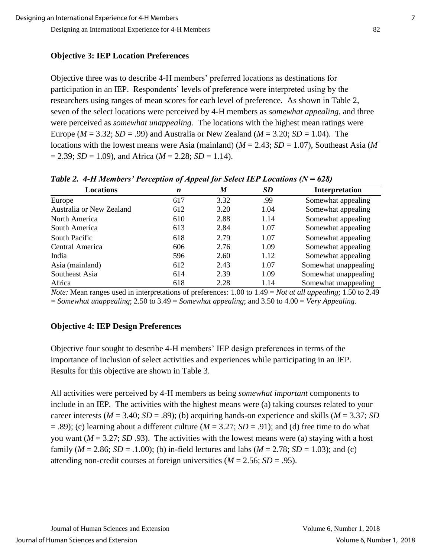## **Objective 3: IEP Location Preferences**

Objective three was to describe 4-H members' preferred locations as destinations for participation in an IEP. Respondents' levels of preference were interpreted using by the researchers using ranges of mean scores for each level of preference. As shown in Table 2, seven of the select locations were perceived by 4-H members as *somewhat appealing*, and three were perceived as *somewhat unappealing.* The locations with the highest mean ratings were Europe ( $M = 3.32$ ;  $SD = .99$ ) and Australia or New Zealand ( $M = 3.20$ ;  $SD = 1.04$ ). The locations with the lowest means were Asia (mainland) (*M* = 2.43; *SD* = 1.07), Southeast Asia (*M*  $= 2.39$ ; *SD* = 1.09), and Africa (*M* = 2.28; *SD* = 1.14).

| <b>Locations</b>         | $\boldsymbol{n}$ | M    | SD   | Interpretation       |
|--------------------------|------------------|------|------|----------------------|
| Europe                   | 617              | 3.32 | .99  | Somewhat appealing   |
| Australia or New Zealand | 612              | 3.20 | 1.04 | Somewhat appealing   |
| North America            | 610              | 2.88 | 1.14 | Somewhat appealing   |
| South America            | 613              | 2.84 | 1.07 | Somewhat appealing   |
| South Pacific            | 618              | 2.79 | 1.07 | Somewhat appealing   |
| Central America          | 606              | 2.76 | 1.09 | Somewhat appealing   |
| India                    | 596              | 2.60 | 1.12 | Somewhat appealing   |
| Asia (mainland)          | 612              | 2.43 | 1.07 | Somewhat unappealing |
| Southeast Asia           | 614              | 2.39 | 1.09 | Somewhat unappealing |
| Africa                   | 618              | 2.28 | 1.14 | Somewhat unappealing |

*Table 2. 4-H Members' Perception of Appeal for Select IEP Locations (N = 628)*

*Note:* Mean ranges used in interpretations of preferences: 1.00 to 1.49 = *Not at all appealing*; 1.50 to 2.49 = *Somewhat unappealing*; 2.50 to 3.49 = *Somewhat appealing*; and 3.50 to 4.00 = *Very Appealing*.

# **Objective 4: IEP Design Preferences**

Objective four sought to describe 4-H members' IEP design preferences in terms of the importance of inclusion of select activities and experiences while participating in an IEP. Results for this objective are shown in Table 3.

All activities were perceived by 4-H members as being *somewhat important* components to include in an IEP*.* The activities with the highest means were (a) taking courses related to your career interests ( $M = 3.40$ ;  $SD = .89$ ); (b) acquiring hands-on experience and skills ( $M = 3.37$ ; *SD*  $=$  .89); (c) learning about a different culture ( $M = 3.27$ ;  $SD = .91$ ); and (d) free time to do what you want  $(M = 3.27; SD.93)$ . The activities with the lowest means were (a) staying with a host family ( $M = 2.86$ ;  $SD = .1.00$ ); (b) in-field lectures and labs ( $M = 2.78$ ;  $SD = 1.03$ ); and (c) attending non-credit courses at foreign universities  $(M = 2.56; SD = .95)$ .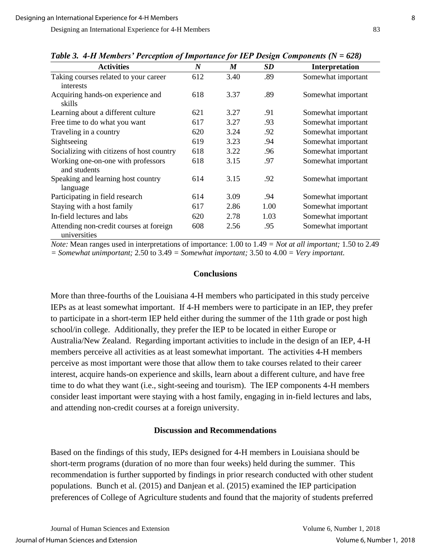| Two of the international electronic of importance for the Bestern components $(r - \sigma^2)$ |                  |      |      |                    |  |
|-----------------------------------------------------------------------------------------------|------------------|------|------|--------------------|--|
| <b>Activities</b>                                                                             | $\boldsymbol{N}$ | M    | SD   | Interpretation     |  |
| Taking courses related to your career<br>interests                                            | 612              | 3.40 | .89  | Somewhat important |  |
| Acquiring hands-on experience and<br>skills                                                   | 618              | 3.37 | .89  | Somewhat important |  |
| Learning about a different culture                                                            | 621              | 3.27 | .91  | Somewhat important |  |
| Free time to do what you want                                                                 | 617              | 3.27 | .93  | Somewhat important |  |
| Traveling in a country                                                                        | 620              | 3.24 | .92  | Somewhat important |  |
| Sightseeing                                                                                   | 619              | 3.23 | .94  | Somewhat important |  |
| Socializing with citizens of host country                                                     | 618              | 3.22 | .96  | Somewhat important |  |
| Working one-on-one with professors<br>and students                                            | 618              | 3.15 | .97  | Somewhat important |  |
| Speaking and learning host country<br>language                                                | 614              | 3.15 | .92  | Somewhat important |  |
| Participating in field research                                                               | 614              | 3.09 | .94  | Somewhat important |  |
| Staying with a host family                                                                    | 617              | 2.86 | 1.00 | Somewhat important |  |
| In-field lectures and labs                                                                    | 620              | 2.78 | 1.03 | Somewhat important |  |
| Attending non-credit courses at foreign<br>universities                                       | 608              | 2.56 | .95  | Somewhat important |  |

*Table 3. 4-H Members' Perception of Importance for IEP Design Components (N = 628)*

*Note:* Mean ranges used in interpretations of importance: 1.00 to 1.49 *= Not at all important;* 1.50 to 2.49 *= Somewhat unimportant;* 2.50 to 3.49 *= Somewhat important;* 3.50 to 4.00 *= Very important.*

#### **Conclusions**

More than three-fourths of the Louisiana 4-H members who participated in this study perceive IEPs as at least somewhat important. If 4-H members were to participate in an IEP, they prefer to participate in a short-term IEP held either during the summer of the 11th grade or post high school/in college. Additionally, they prefer the IEP to be located in either Europe or Australia/New Zealand. Regarding important activities to include in the design of an IEP, 4-H members perceive all activities as at least somewhat important. The activities 4-H members perceive as most important were those that allow them to take courses related to their career interest, acquire hands-on experience and skills, learn about a different culture, and have free time to do what they want (i.e., sight-seeing and tourism). The IEP components 4-H members consider least important were staying with a host family, engaging in in-field lectures and labs, and attending non-credit courses at a foreign university.

### **Discussion and Recommendations**

Based on the findings of this study, IEPs designed for 4-H members in Louisiana should be short-term programs (duration of no more than four weeks) held during the summer. This recommendation is further supported by findings in prior research conducted with other student populations. Bunch et al. (2015) and Danjean et al. (2015) examined the IEP participation preferences of College of Agriculture students and found that the majority of students preferred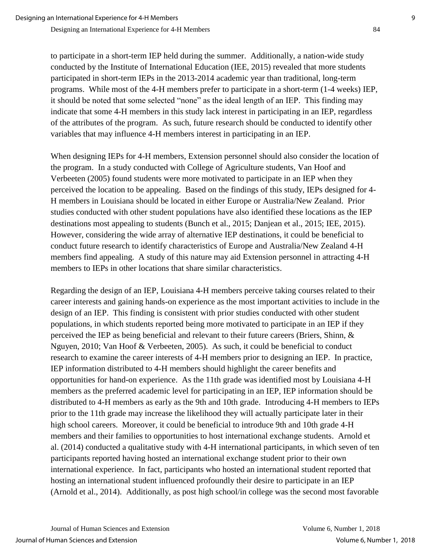to participate in a short-term IEP held during the summer. Additionally, a nation-wide study conducted by the Institute of International Education (IEE, 2015) revealed that more students participated in short-term IEPs in the 2013-2014 academic year than traditional, long-term programs. While most of the 4-H members prefer to participate in a short-term (1-4 weeks) IEP, it should be noted that some selected "none" as the ideal length of an IEP. This finding may indicate that some 4-H members in this study lack interest in participating in an IEP, regardless of the attributes of the program. As such, future research should be conducted to identify other variables that may influence 4-H members interest in participating in an IEP.

When designing IEPs for 4-H members, Extension personnel should also consider the location of the program. In a study conducted with College of Agriculture students, Van Hoof and Verbeeten (2005) found students were more motivated to participate in an IEP when they perceived the location to be appealing. Based on the findings of this study, IEPs designed for 4- H members in Louisiana should be located in either Europe or Australia/New Zealand. Prior studies conducted with other student populations have also identified these locations as the IEP destinations most appealing to students (Bunch et al., 2015; Danjean et al., 2015; IEE, 2015). However, considering the wide array of alternative IEP destinations, it could be beneficial to conduct future research to identify characteristics of Europe and Australia/New Zealand 4-H members find appealing. A study of this nature may aid Extension personnel in attracting 4-H members to IEPs in other locations that share similar characteristics.

Regarding the design of an IEP, Louisiana 4-H members perceive taking courses related to their career interests and gaining hands-on experience as the most important activities to include in the design of an IEP. This finding is consistent with prior studies conducted with other student populations, in which students reported being more motivated to participate in an IEP if they perceived the IEP as being beneficial and relevant to their future careers (Briers, Shinn, & Nguyen, 2010; Van Hoof & Verbeeten, 2005). As such, it could be beneficial to conduct research to examine the career interests of 4-H members prior to designing an IEP. In practice, IEP information distributed to 4-H members should highlight the career benefits and opportunities for hand-on experience. As the 11th grade was identified most by Louisiana 4-H members as the preferred academic level for participating in an IEP, IEP information should be distributed to 4-H members as early as the 9th and 10th grade. Introducing 4-H members to IEPs prior to the 11th grade may increase the likelihood they will actually participate later in their high school careers. Moreover, it could be beneficial to introduce 9th and 10th grade 4-H members and their families to opportunities to host international exchange students. Arnold et al. (2014) conducted a qualitative study with 4-H international participants, in which seven of ten participants reported having hosted an international exchange student prior to their own international experience. In fact, participants who hosted an international student reported that hosting an international student influenced profoundly their desire to participate in an IEP (Arnold et al., 2014). Additionally, as post high school/in college was the second most favorable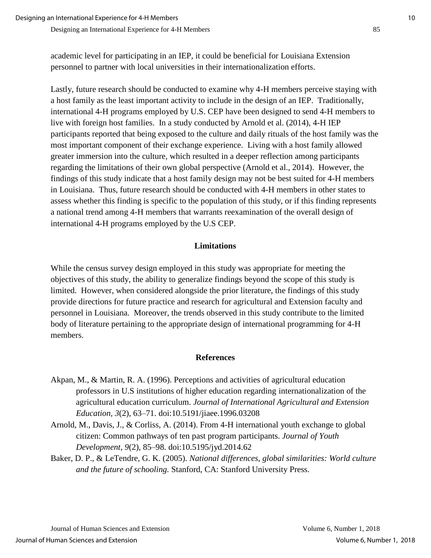academic level for participating in an IEP, it could be beneficial for Louisiana Extension personnel to partner with local universities in their internationalization efforts.

Lastly, future research should be conducted to examine why 4-H members perceive staying with a host family as the least important activity to include in the design of an IEP. Traditionally, international 4-H programs employed by U.S. CEP have been designed to send 4-H members to live with foreign host families. In a study conducted by Arnold et al. (2014), 4-H IEP participants reported that being exposed to the culture and daily rituals of the host family was the most important component of their exchange experience. Living with a host family allowed greater immersion into the culture, which resulted in a deeper reflection among participants regarding the limitations of their own global perspective (Arnold et al., 2014). However, the findings of this study indicate that a host family design may not be best suited for 4-H members in Louisiana. Thus, future research should be conducted with 4-H members in other states to assess whether this finding is specific to the population of this study, or if this finding represents a national trend among 4-H members that warrants reexamination of the overall design of international 4-H programs employed by the U.S CEP.

#### **Limitations**

While the census survey design employed in this study was appropriate for meeting the objectives of this study, the ability to generalize findings beyond the scope of this study is limited. However, when considered alongside the prior literature, the findings of this study provide directions for future practice and research for agricultural and Extension faculty and personnel in Louisiana. Moreover, the trends observed in this study contribute to the limited body of literature pertaining to the appropriate design of international programming for 4-H members.

#### **References**

- Akpan, M., & Martin, R. A. (1996). Perceptions and activities of agricultural education professors in U.S institutions of higher education regarding internationalization of the agricultural education curriculum. *Journal of International Agricultural and Extension Education, 3*(2), 63–71. doi:10.5191/jiaee.1996.03208
- Arnold, M., Davis, J., & Corliss, A. (2014). From 4-H international youth exchange to global citizen: Common pathways of ten past program participants. *Journal of Youth Development, 9*(2), 85–98. doi:10.5195/jyd.2014.62
- Baker, D. P., & LeTendre, G. K. (2005). *National differences, global similarities: World culture and the future of schooling.* Stanford, CA: Stanford University Press.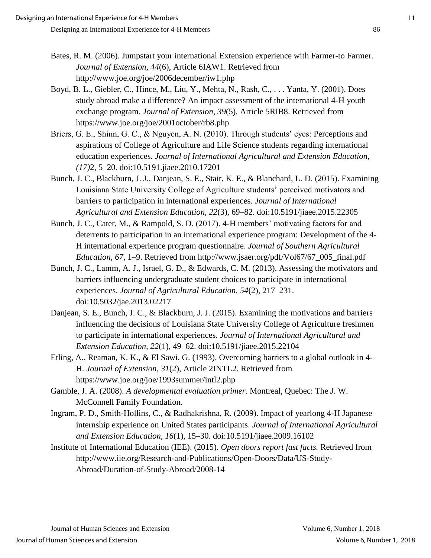- Boyd, B. L., Giebler, C., Hince, M., Liu, Y., Mehta, N., Rash, C., . . . Yanta, Y. (2001). Does study abroad make a difference? An impact assessment of the international 4-H youth exchange program. *Journal of Extension, 39*(5), Article 5RIB8. Retrieved from https://www.joe.org/joe/2001october/rb8.php
- Briers, G. E., Shinn, G. C., & Nguyen, A. N. (2010). Through students' eyes: Perceptions and aspirations of College of Agriculture and Life Science students regarding international education experiences. *Journal of International Agricultural and Extension Education, (17)*2, 5–20. doi:10.5191.jiaee.2010.17201
- Bunch, J. C., Blackburn, J. J., Danjean, S. E., Stair, K. E., & Blanchard, L. D. (2015). Examining Louisiana State University College of Agriculture students' perceived motivators and barriers to participation in international experiences. *Journal of International Agricultural and Extension Education, 22*(3), 69–82. doi:10.5191/jiaee.2015.22305
- Bunch, J. C., Cater, M., & Rampold, S. D. (2017). 4-H members' motivating factors for and deterrents to participation in an international experience program: Development of the 4- H international experience program questionnaire. *Journal of Southern Agricultural Education, 67*, 1–9. Retrieved from http://www.jsaer.org/pdf/Vol67/67\_005\_final.pdf
- Bunch, J. C., Lamm, A. J., Israel, G. D., & Edwards, C. M. (2013). Assessing the motivators and barriers influencing undergraduate student choices to participate in international experiences. *Journal of Agricultural Education, 54*(2), 217–231. doi:10.5032/jae.2013.02217
- Danjean, S. E., Bunch, J. C., & Blackburn, J. J. (2015). Examining the motivations and barriers influencing the decisions of Louisiana State University College of Agriculture freshmen to participate in international experiences. *Journal of International Agricultural and Extension Education, 22*(1), 49–62. doi:10.5191/jiaee.2015.22104
- Etling, A., Reaman, K. K., & El Sawi, G. (1993). Overcoming barriers to a global outlook in 4- H. *Journal of Extension, 31*(2), Article 2INTL2. Retrieved from https://www.joe.org/joe/1993summer/intl2.php
- Gamble, J. A. (2008). *A developmental evaluation primer.* Montreal, Quebec: The J. W. McConnell Family Foundation.
- Ingram, P. D., Smith-Hollins, C., & Radhakrishna, R. (2009). Impact of yearlong 4-H Japanese internship experience on United States participants. *Journal of International Agricultural and Extension Education, 16*(1), 15–30. doi:10.5191/jiaee.2009.16102
- Institute of International Education (IEE). (2015). *Open doors report fast facts.* Retrieved from http://www.iie.org/Research-and-Publications/Open-Doors/Data/US-Study-Abroad/Duration-of-Study-Abroad/2008-14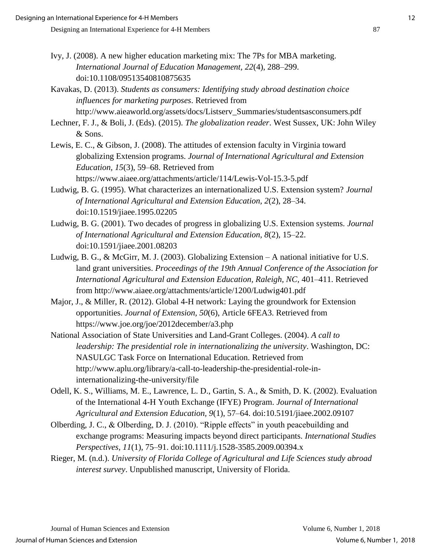- Ivy, J. (2008). A new higher education marketing mix: The 7Ps for MBA marketing. *International Journal of Education Management, 22*(4), 288–299. doi:10.1108/09513540810875635
- Kavakas, D. (2013). *Students as consumers: Identifying study abroad destination choice influences for marketing purposes*. Retrieved from http://www.aieaworld.org/assets/docs/Listserv\_Summaries/studentsasconsumers.pdf
- Lechner, F. J., & Boli, J. (Eds). (2015). *The globalization reader*. West Sussex, UK: John Wiley & Sons.
- Lewis, E. C., & Gibson, J. (2008). The attitudes of extension faculty in Virginia toward globalizing Extension programs. *Journal of International Agricultural and Extension Education, 15*(3), 59–68. Retrieved from https://www.aiaee.org/attachments/article/114/Lewis-Vol-15.3-5.pdf
- Ludwig, B. G. (1995). What characterizes an internationalized U.S. Extension system? *Journal of International Agricultural and Extension Education, 2*(2), 28–34. doi:10.1519/jiaee.1995.02205
- Ludwig, B. G. (2001). Two decades of progress in globalizing U.S. Extension systems. *Journal of International Agricultural and Extension Education, 8*(2), 15–22. doi:10.1591/jiaee.2001.08203
- Ludwig, B. G., & McGirr, M. J. (2003). Globalizing Extension A national initiative for U.S. land grant universities. *Proceedings of the 19th Annual Conference of the Association for International Agricultural and Extension Education, Raleigh, NC,* 401–411. Retrieved from http://www.aiaee.org/attachments/article/1200/Ludwig401.pdf
- Major, J., & Miller, R. (2012). Global 4-H network: Laying the groundwork for Extension opportunities. *Journal of Extension, 50*(6), Article 6FEA3. Retrieved from https://www.joe.org/joe/2012december/a3.php
- National Association of State Universities and Land-Grant Colleges. (2004). *A call to leadership: The presidential role in internationalizing the university*. Washington, DC: NASULGC Task Force on International Education. Retrieved from http://www.aplu.org/library/a-call-to-leadership-the-presidential-role-ininternationalizing-the-university/file
- Odell, K. S., Williams, M. E., Lawrence, L. D., Gartin, S. A., & Smith, D. K. (2002). Evaluation of the International 4-H Youth Exchange (IFYE) Program. *Journal of International Agricultural and Extension Education, 9*(1), 57–64. doi:10.5191/jiaee.2002.09107
- Olberding, J. C., & Olberding, D. J. (2010). "Ripple effects" in youth peacebuilding and exchange programs: Measuring impacts beyond direct participants. *International Studies Perspectives, 11*(1), 75–91. doi:10.1111/j.1528-3585.2009.00394.x
- Rieger, M. (n.d.). *University of Florida College of Agricultural and Life Sciences study abroad interest survey*. Unpublished manuscript, University of Florida.